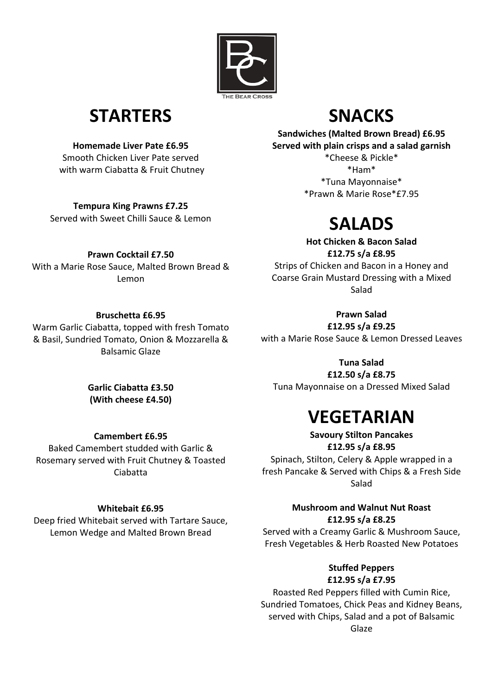

## **STARTERS**

**Homemade Liver Pate £6.95**

Smooth Chicken Liver Pate served with warm Ciabatta & Fruit Chutney

**Tempura King Prawns £7.25** Served with Sweet Chilli Sauce & Lemon

#### **Prawn Cocktail £7.50**

With a Marie Rose Sauce, Malted Brown Bread & Lemon

#### **Bruschetta £6.95**

Warm Garlic Ciabatta, topped with fresh Tomato & Basil, Sundried Tomato, Onion & Mozzarella & Balsamic Glaze

## **SNACKS**

**Sandwiches (Malted Brown Bread) £6.95 Served with plain crisps and a salad garnish**

\*Cheese & Pickle\* \*Ham\* \*Tuna Mayonnaise\* \*Prawn & Marie Rose\*£7.95

# **SALADS**

**Hot Chicken & Bacon Salad £12.75 s/a £8.95**

Strips of Chicken and Bacon in a Honey and Coarse Grain Mustard Dressing with a Mixed Salad

#### **Prawn Salad**

**£12.95 s/a £9.25**

with a Marie Rose Sauce & Lemon Dressed Leaves

**Tuna Salad £12.50 s/a £8.75**

Tuna Mayonnaise on a Dressed Mixed Salad

# **VEGETARIAN**

**Savoury Stilton Pancakes £12.95 s/a £8.95** Spinach, Stilton, Celery & Apple wrapped in a fresh Pancake & Served with Chips & a Fresh Side Salad

#### **Mushroom and Walnut Nut Roast £12.95 s/a £8.25**

Served with a Creamy Garlic & Mushroom Sauce, Fresh Vegetables & Herb Roasted New Potatoes

> **Stuffed Peppers £12.95 s/a £7.95**

Roasted Red Peppers filled with Cumin Rice, Sundried Tomatoes, Chick Peas and Kidney Beans, served with Chips, Salad and a pot of Balsamic Glaze

#### **Garlic Ciabatta £3.50 (With cheese £4.50)**

**Camembert £6.95**

Baked Camembert studded with Garlic & Rosemary served with Fruit Chutney & Toasted Ciabatta

#### **Whitebait £6.95**

Deep fried Whitebait served with Tartare Sauce, Lemon Wedge and Malted Brown Bread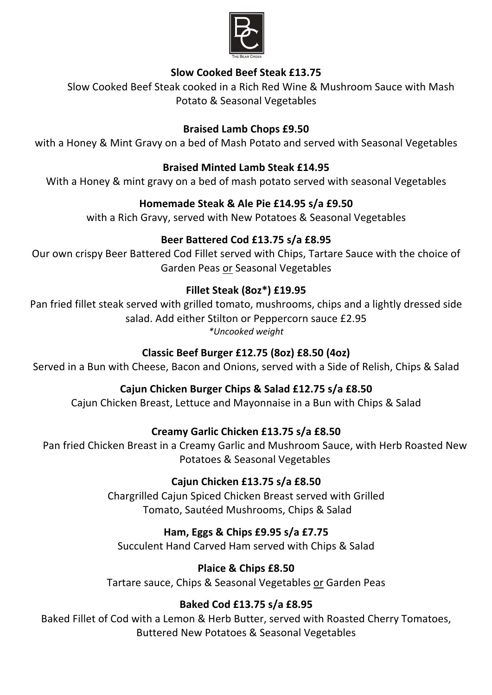

#### **Slow Cooked Beef Steak £13.75**

Slow Cooked Beef Steak cooked in a Rich Red Wine & Mushroom Sauce with Mash Potato & Seasonal Vegetables

#### **Braised Lamb Chops £9.50**

with a Honey & Mint Gravy on a bed of Mash Potato and served with Seasonal Vegetables

#### **Braised Minted Lamb Steak £14.95**

With a Honey & mint gravy on a bed of mash potato served with seasonal Vegetables

#### **Homemade Steak & Ale Pie £14.95 s/a £9.50**

with a Rich Gravy, served with New Potatoes & Seasonal Vegetables

#### **Beer Battered Cod £13.75 s/a £8.95**

Our own crispy Beer Battered Cod Fillet served with Chips, Tartare Sauce with the choice of Garden Peas or Seasonal Vegetables

#### **Fillet Steak (8oz\*) £19.95**

Pan fried fillet steak served with grilled tomato, mushrooms, chips and a lightly dressed side salad. Add either Stilton or Peppercorn sauce £2.95 *\*Uncooked weight*

#### **Classic Beef Burger £12.75 (8oz) £8.50 (4oz)**

Served in a Bun with Cheese, Bacon and Onions, served with a Side of Relish, Chips & Salad

#### **Cajun Chicken Burger Chips & Salad £12.75 s/a £8.50**

Cajun Chicken Breast, Lettuce and Mayonnaise in a Bun with Chips & Salad

#### **Creamy Garlic Chicken £13.75 s/a £8.50**

Pan fried Chicken Breast in a Creamy Garlic and Mushroom Sauce, with Herb Roasted New Potatoes & Seasonal Vegetables

#### **Cajun Chicken £13.75 s/a £8.50**

Chargrilled Cajun Spiced Chicken Breast served with Grilled Tomato, Sautéed Mushrooms, Chips & Salad

#### **Ham, Eggs & Chips £9.95 s/a £7.75**

Succulent Hand Carved Ham served with Chips & Salad

#### **Plaice & Chips £8.50**

Tartare sauce, Chips & Seasonal Vegetables or Garden Peas

#### **Baked Cod £13.75 s/a £8.95**

Baked Fillet of Cod with a Lemon & Herb Butter, served with Roasted Cherry Tomatoes, Buttered New Potatoes & Seasonal Vegetables